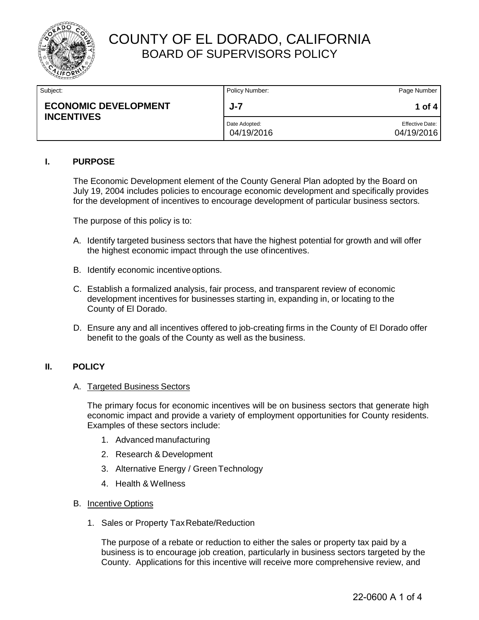

| Subject:                                         | Policy Number:              | Page Number                          |
|--------------------------------------------------|-----------------------------|--------------------------------------|
| <b>ECONOMIC DEVELOPMENT</b><br><b>INCENTIVES</b> | $J - 7$                     | 1 of 4                               |
|                                                  | Date Adopted:<br>04/19/2016 | <b>Effective Date:</b><br>04/19/2016 |

#### **I. PURPOSE**

The Economic Development element of the County General Plan adopted by the Board on July 19, 2004 includes policies to encourage economic development and specifically provides for the development of incentives to encourage development of particular business sectors.

The purpose of this policy is to:

- A. Identify targeted business sectors that have the highest potential for growth and will offer the highest economic impact through the use ofincentives.
- B. Identify economic incentiveoptions.
- C. Establish a formalized analysis, fair process, and transparent review of economic development incentives for businesses starting in, expanding in, or locating to the County of El Dorado.
- D. Ensure any and all incentives offered to job-creating firms in the County of El Dorado offer benefit to the goals of the County as well as the business.

#### **II. POLICY**

#### A. Targeted Business Sectors

The primary focus for economic incentives will be on business sectors that generate high economic impact and provide a variety of employment opportunities for County residents. Examples of these sectors include:

- 1. Advanced manufacturing
- 2. Research & Development
- 3. Alternative Energy / Green Technology
- 4. Health & Wellness
- B. Incentive Options
	- 1. Sales or Property TaxRebate/Reduction

The purpose of a rebate or reduction to either the sales or property tax paid by a business is to encourage job creation, particularly in business sectors targeted by the County. Applications for this incentive will receive more comprehensive review, and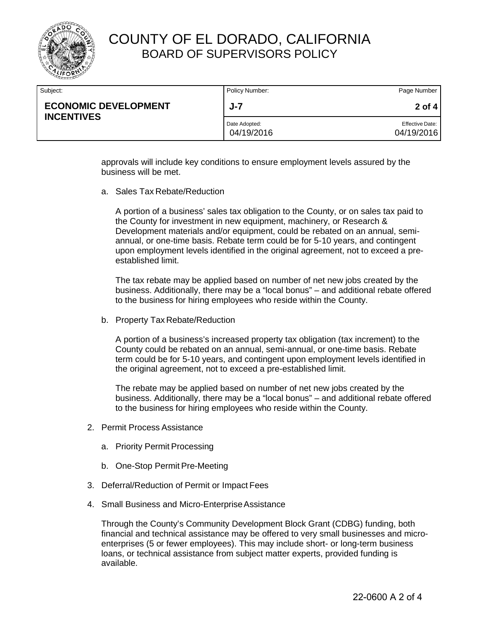

| Subject:                                         | Policy Number:              | Page Number                   |
|--------------------------------------------------|-----------------------------|-------------------------------|
| <b>ECONOMIC DEVELOPMENT</b><br><b>INCENTIVES</b> | J-7                         | $2$ of 4                      |
|                                                  | Date Adopted:<br>04/19/2016 | Effective Date:<br>04/19/2016 |

approvals will include key conditions to ensure employment levels assured by the business will be met.

a. Sales Tax Rebate/Reduction

A portion of a business' sales tax obligation to the County, or on sales tax paid to the County for investment in new equipment, machinery, or Research & Development materials and/or equipment, could be rebated on an annual, semiannual, or one-time basis. Rebate term could be for 5-10 years, and contingent upon employment levels identified in the original agreement, not to exceed a preestablished limit.

The tax rebate may be applied based on number of net new jobs created by the business. Additionally, there may be a "local bonus" – and additional rebate offered to the business for hiring employees who reside within the County.

b. Property Tax Rebate/Reduction

A portion of a business's increased property tax obligation (tax increment) to the County could be rebated on an annual, semi-annual, or one-time basis. Rebate term could be for 5-10 years, and contingent upon employment levels identified in the original agreement, not to exceed a pre-established limit.

The rebate may be applied based on number of net new jobs created by the business. Additionally, there may be a "local bonus" – and additional rebate offered to the business for hiring employees who reside within the County.

- 2. Permit Process Assistance
	- a. Priority Permit Processing
	- b. One-Stop Permit Pre-Meeting
- 3. Deferral/Reduction of Permit or Impact Fees
- 4. Small Business and Micro-Enterprise Assistance

Through the County's Community Development Block Grant (CDBG) funding, both financial and technical assistance may be offered to very small businesses and microenterprises (5 or fewer employees). This may include short- or long-term business loans, or technical assistance from subject matter experts, provided funding is available.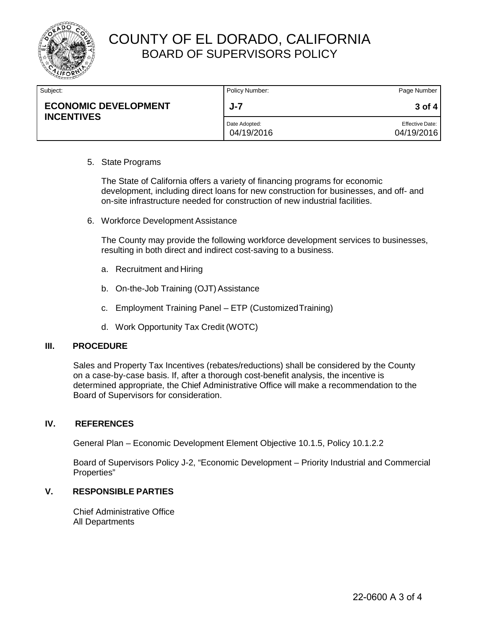

| Subject:                                         | Policy Number:              | Page Number                          |
|--------------------------------------------------|-----------------------------|--------------------------------------|
| <b>ECONOMIC DEVELOPMENT</b><br><b>INCENTIVES</b> | J-7                         | 3 of 4                               |
|                                                  | Date Adopted:<br>04/19/2016 | <b>Effective Date:</b><br>04/19/2016 |

#### 5. State Programs

The State of California offers a variety of financing programs for economic development, including direct loans for new construction for businesses, and off- and on-site infrastructure needed for construction of new industrial facilities.

6. Workforce Development Assistance

The County may provide the following workforce development services to businesses, resulting in both direct and indirect cost-saving to a business.

- a. Recruitment and Hiring
- b. On-the-Job Training (OJT) Assistance
- c. Employment Training Panel ETP (CustomizedTraining)
- d. Work Opportunity Tax Credit (WOTC)

#### **III. PROCEDURE**

Sales and Property Tax Incentives (rebates/reductions) shall be considered by the County on a case-by-case basis. If, after a thorough cost-benefit analysis, the incentive is determined appropriate, the Chief Administrative Office will make a recommendation to the Board of Supervisors for consideration.

### **IV. REFERENCES**

General Plan – Economic Development Element Objective 10.1.5, Policy 10.1.2.2

Board of Supervisors Policy J-2, "Economic Development – Priority Industrial and Commercial Properties"

### **V. RESPONSIBLE PARTIES**

Chief Administrative Office All Departments